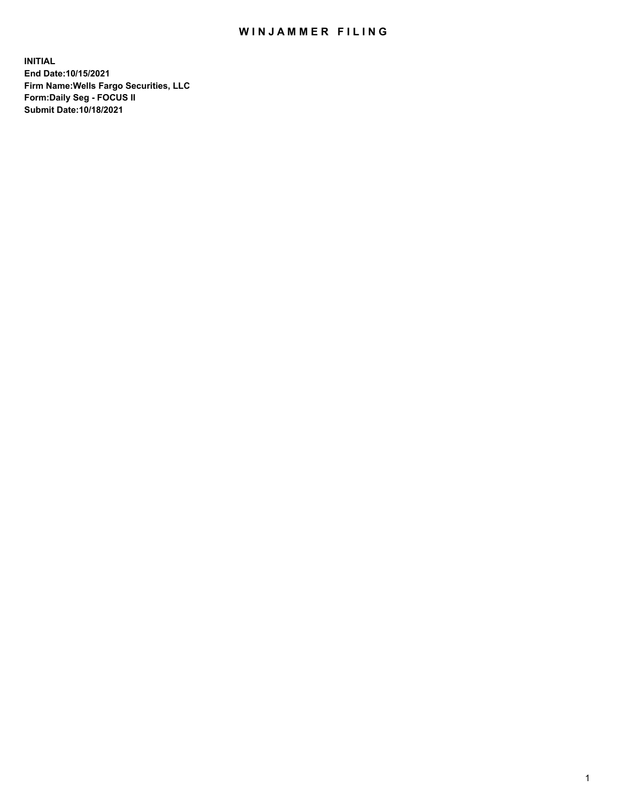## WIN JAMMER FILING

**INITIAL End Date:10/15/2021 Firm Name:Wells Fargo Securities, LLC Form:Daily Seg - FOCUS II Submit Date:10/18/2021**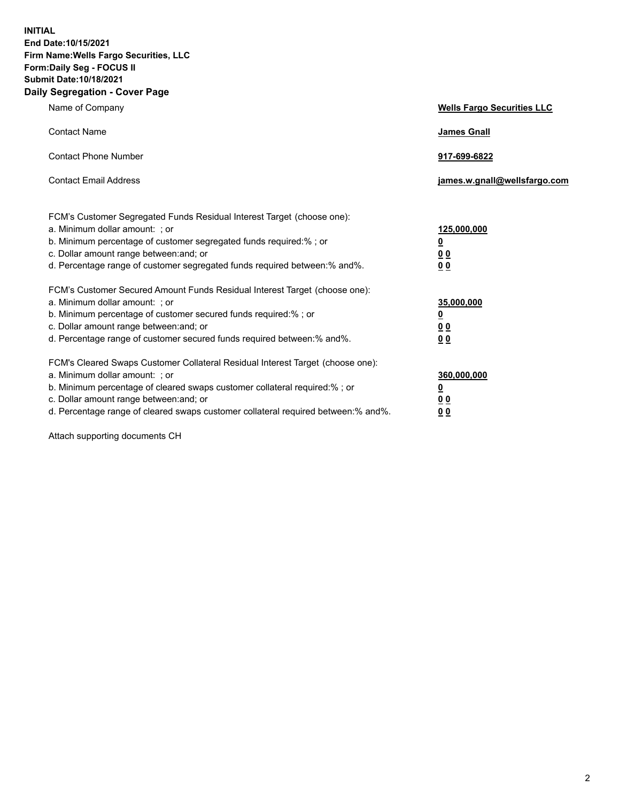**INITIAL End Date:10/15/2021 Firm Name:Wells Fargo Securities, LLC Form:Daily Seg - FOCUS II Submit Date:10/18/2021 Daily Segregation - Cover Page**

| Name of Company                                                                                                                                                                                                                                                                                                               | <b>Wells Fargo Securities LLC</b>                          |
|-------------------------------------------------------------------------------------------------------------------------------------------------------------------------------------------------------------------------------------------------------------------------------------------------------------------------------|------------------------------------------------------------|
| <b>Contact Name</b>                                                                                                                                                                                                                                                                                                           | <b>James Gnall</b>                                         |
| <b>Contact Phone Number</b>                                                                                                                                                                                                                                                                                                   | 917-699-6822                                               |
| <b>Contact Email Address</b>                                                                                                                                                                                                                                                                                                  | james.w.gnall@wellsfargo.com                               |
| FCM's Customer Segregated Funds Residual Interest Target (choose one):<br>a. Minimum dollar amount: ; or<br>b. Minimum percentage of customer segregated funds required:% ; or<br>c. Dollar amount range between: and; or<br>d. Percentage range of customer segregated funds required between:% and%.                        | 125,000,000<br><u>0</u><br>0 <sub>0</sub><br>00            |
| FCM's Customer Secured Amount Funds Residual Interest Target (choose one):<br>a. Minimum dollar amount: ; or<br>b. Minimum percentage of customer secured funds required:%; or<br>c. Dollar amount range between: and; or<br>d. Percentage range of customer secured funds required between: % and %.                         | 35,000,000<br><u>0</u><br>0 <sub>0</sub><br>0 <sub>0</sub> |
| FCM's Cleared Swaps Customer Collateral Residual Interest Target (choose one):<br>a. Minimum dollar amount: ; or<br>b. Minimum percentage of cleared swaps customer collateral required:%; or<br>c. Dollar amount range between: and; or<br>d. Percentage range of cleared swaps customer collateral required between:% and%. | 360,000,000<br><u>0</u><br>00<br>00                        |

Attach supporting documents CH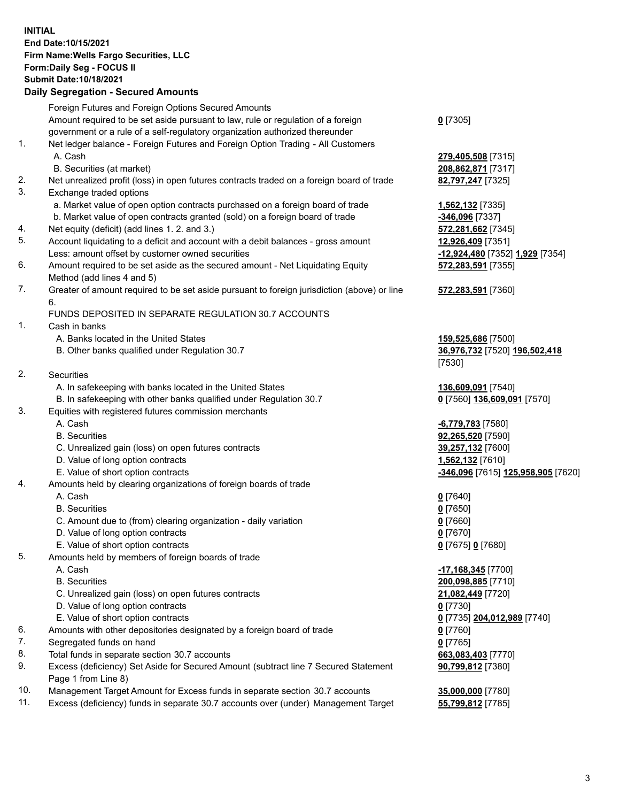**INITIAL End Date:10/15/2021 Firm Name:Wells Fargo Securities, LLC Form:Daily Seg - FOCUS II Submit Date:10/18/2021**

## **Daily Segregation - Secured Amounts**

|     | Foreign Futures and Foreign Options Secured Amounts                                                        |                                    |
|-----|------------------------------------------------------------------------------------------------------------|------------------------------------|
|     | Amount required to be set aside pursuant to law, rule or regulation of a foreign                           | $0$ [7305]                         |
|     | government or a rule of a self-regulatory organization authorized thereunder                               |                                    |
| 1.  | Net ledger balance - Foreign Futures and Foreign Option Trading - All Customers                            |                                    |
|     | A. Cash                                                                                                    | 279,405,508 [7315]                 |
|     | B. Securities (at market)                                                                                  | 208,862,871 [7317]                 |
| 2.  | Net unrealized profit (loss) in open futures contracts traded on a foreign board of trade                  | 82,797,247 [7325]                  |
| 3.  | Exchange traded options                                                                                    |                                    |
|     | a. Market value of open option contracts purchased on a foreign board of trade                             | 1,562,132 <sub>[7335]</sub>        |
|     | b. Market value of open contracts granted (sold) on a foreign board of trade                               | -346,096 [7337]                    |
| 4.  | Net equity (deficit) (add lines 1. 2. and 3.)                                                              | 572,281,662 [7345]                 |
| 5.  | Account liquidating to a deficit and account with a debit balances - gross amount                          | 12,926,409 [7351]                  |
|     | Less: amount offset by customer owned securities                                                           | -12,924,480 [7352] 1,929 [7354]    |
| 6.  | Amount required to be set aside as the secured amount - Net Liquidating Equity                             | 572,283,591 [7355]                 |
|     | Method (add lines 4 and 5)                                                                                 |                                    |
| 7.  | Greater of amount required to be set aside pursuant to foreign jurisdiction (above) or line                | 572,283,591 [7360]                 |
|     | 6.                                                                                                         |                                    |
|     | FUNDS DEPOSITED IN SEPARATE REGULATION 30.7 ACCOUNTS                                                       |                                    |
| 1.  | Cash in banks                                                                                              |                                    |
|     | A. Banks located in the United States                                                                      | 159,525,686 [7500]                 |
|     | B. Other banks qualified under Regulation 30.7                                                             | 36,976,732 [7520] 196,502,418      |
|     |                                                                                                            | [7530]                             |
| 2.  | <b>Securities</b>                                                                                          |                                    |
|     | A. In safekeeping with banks located in the United States                                                  | 136,609,091 [7540]                 |
|     | B. In safekeeping with other banks qualified under Regulation 30.7                                         | 0 [7560] 136,609,091 [7570]        |
| 3.  | Equities with registered futures commission merchants                                                      |                                    |
|     | A. Cash                                                                                                    | -6,779,783 [7580]                  |
|     | <b>B.</b> Securities                                                                                       | 92,265,520 [7590]                  |
|     | C. Unrealized gain (loss) on open futures contracts                                                        | 39,257,132 [7600]                  |
|     | D. Value of long option contracts                                                                          | 1,562,132 [7610]                   |
|     | E. Value of short option contracts                                                                         | -346,096 [7615] 125,958,905 [7620] |
| 4.  | Amounts held by clearing organizations of foreign boards of trade                                          |                                    |
|     | A. Cash                                                                                                    | $0$ [7640]                         |
|     | <b>B.</b> Securities                                                                                       | $0$ [7650]                         |
|     | C. Amount due to (from) clearing organization - daily variation                                            | $0$ [7660]                         |
|     | D. Value of long option contracts                                                                          | $0$ [7670]                         |
|     | E. Value of short option contracts                                                                         | 0 [7675] 0 [7680]                  |
| 5.  | Amounts held by members of foreign boards of trade                                                         |                                    |
|     | A. Cash                                                                                                    | $-17,168,345$ [7700]               |
|     | <b>B.</b> Securities                                                                                       | 200,098,885 [7710]                 |
|     | C. Unrealized gain (loss) on open futures contracts                                                        | 21,082,449 [7720]                  |
|     | D. Value of long option contracts                                                                          | $0$ [7730]                         |
|     | E. Value of short option contracts                                                                         | 0 [7735] 204,012,989 [7740]        |
| 6.  | Amounts with other depositories designated by a foreign board of trade                                     | $0$ [7760]                         |
| 7.  | Segregated funds on hand                                                                                   | $0$ [7765]                         |
| 8.  | Total funds in separate section 30.7 accounts                                                              | 663,083,403 [7770]                 |
| 9.  | Excess (deficiency) Set Aside for Secured Amount (subtract line 7 Secured Statement<br>Page 1 from Line 8) | 90,799,812 [7380]                  |
| 10. | Management Target Amount for Excess funds in separate section 30.7 accounts                                | 35,000,000 [7780]                  |
|     |                                                                                                            |                                    |

11. Excess (deficiency) funds in separate 30.7 accounts over (under) Management Target **55,799,812** [7785]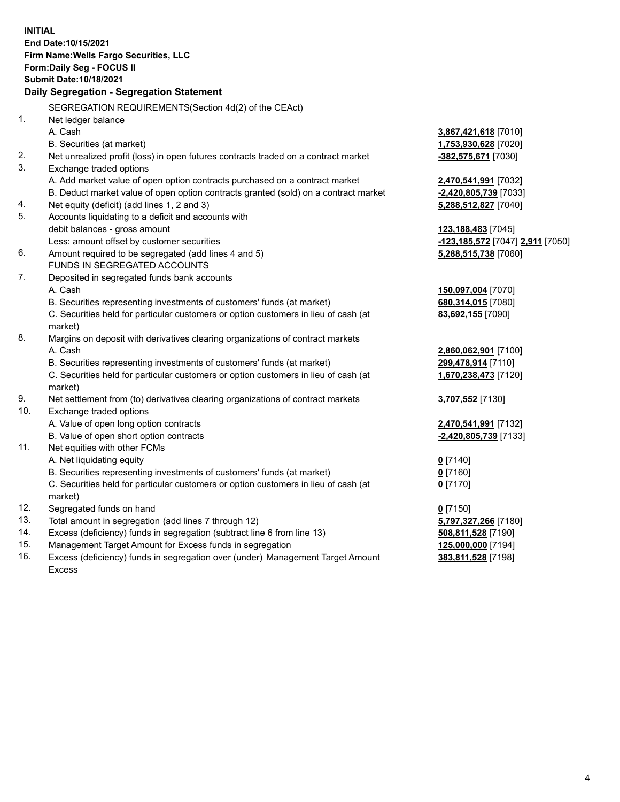**INITIAL End Date:10/15/2021 Firm Name:Wells Fargo Securities, LLC Form:Daily Seg - FOCUS II Submit Date:10/18/2021 Daily Segregation - Segregation Statement** SEGREGATION REQUIREMENTS(Section 4d(2) of the CEAct) 1. Net ledger balance A. Cash **3,867,421,618** [7010] B. Securities (at market) **1,753,930,628** [7020] 2. Net unrealized profit (loss) in open futures contracts traded on a contract market **-382,575,671** [7030] 3. Exchange traded options A. Add market value of open option contracts purchased on a contract market **2,470,541,991** [7032] B. Deduct market value of open option contracts granted (sold) on a contract market **-2,420,805,739** [7033] 4. Net equity (deficit) (add lines 1, 2 and 3) **5,288,512,827** [7040] 5. Accounts liquidating to a deficit and accounts with debit balances - gross amount **123,188,483** [7045] Less: amount offset by customer securities **-123,185,572** [7047] **2,911** [7050] 6. Amount required to be segregated (add lines 4 and 5) **5,288,515,738** [7060] FUNDS IN SEGREGATED ACCOUNTS 7. Deposited in segregated funds bank accounts A. Cash **150,097,004** [7070] B. Securities representing investments of customers' funds (at market) **680,314,015** [7080] C. Securities held for particular customers or option customers in lieu of cash (at market) **83,692,155** [7090] 8. Margins on deposit with derivatives clearing organizations of contract markets A. Cash **2,860,062,901** [7100] B. Securities representing investments of customers' funds (at market) **299,478,914** [7110] C. Securities held for particular customers or option customers in lieu of cash (at market) **1,670,238,473** [7120] 9. Net settlement from (to) derivatives clearing organizations of contract markets **3,707,552** [7130] 10. Exchange traded options A. Value of open long option contracts **2,470,541,991** [7132] B. Value of open short option contracts **-2,420,805,739** [7133] 11. Net equities with other FCMs A. Net liquidating equity **0** [7140] B. Securities representing investments of customers' funds (at market) **0** [7160] **0** [7170]

C. Securities held for particular customers or option customers in lieu of cash (at market)

- 12. Segregated funds on hand **0** [7150]
- 13. Total amount in segregation (add lines 7 through 12) **5,797,327,266** [7180]
- 14. Excess (deficiency) funds in segregation (subtract line 6 from line 13) **508,811,528** [7190]
- 15. Management Target Amount for Excess funds in segregation **125,000,000** [7194]
- 16. Excess (deficiency) funds in segregation over (under) Management Target Amount Excess

**383,811,528** [7198]